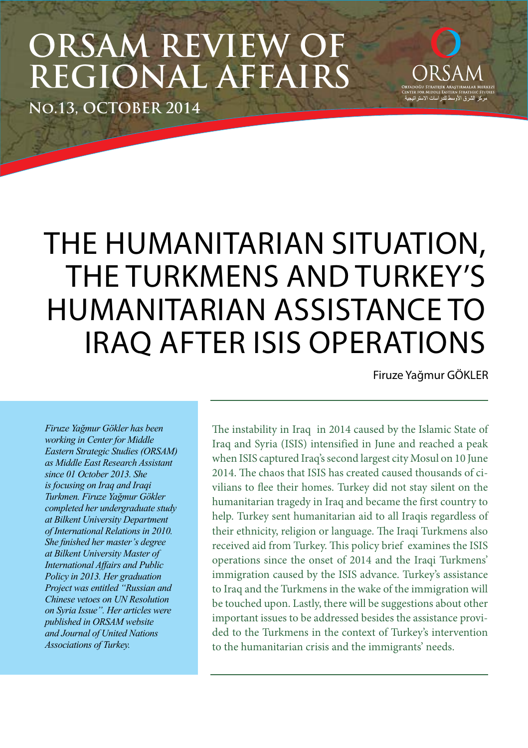# **ORSAM REVIEW OF REGIONAL AFFAIRS**

**No.13, OCTOBER 2014**

# THE HUMANITARIAN SITUATION, THE TURKMENS AND TURKEY'S HUMANITARIAN ASSISTANCE TO IRAQ AFTER ISIS OPERATIONS

Firuze Yağmur GÖKLER

مركز الشرق الأوسط للدر

*Firuze Yağmur Gökler has been working in Center for Middle Eastern Strategic Studies (ORSAM) as Middle East Research Assistant since 01 October 2013. She is focusing on Iraq and Iraqi Turkmen. Firuze Yağmur Gökler completed her undergraduate study at Bilkent University Department of International Relations in 2010. She finished her master's degree at Bilkent University Master of International Affairs and Public Policy in 2013. Her graduation Project was entitled "Russian and Chinese vetoes on UN Resolution on Syria Issue". Her articles were published in ORSAM website and Journal of United Nations Associations of Turkey.*

The instability in Iraq in 2014 caused by the Islamic State of Iraq and Syria (ISIS) intensified in June and reached a peak when ISIS captured Iraq's second largest city Mosul on 10 June 2014. The chaos that ISIS has created caused thousands of civilians to flee their homes. Turkey did not stay silent on the humanitarian tragedy in Iraq and became the first country to help. Turkey sent humanitarian aid to all Iraqis regardless of their ethnicity, religion or language. The Iraqi Turkmens also received aid from Turkey. This policy brief examines the ISIS operations since the onset of 2014 and the Iraqi Turkmens' immigration caused by the ISIS advance. Turkey's assistance to Iraq and the Turkmens in the wake of the immigration will be touched upon. Lastly, there will be suggestions about other important issues to be addressed besides the assistance provided to the Turkmens in the context of Turkey's intervention to the humanitarian crisis and the immigrants' needs.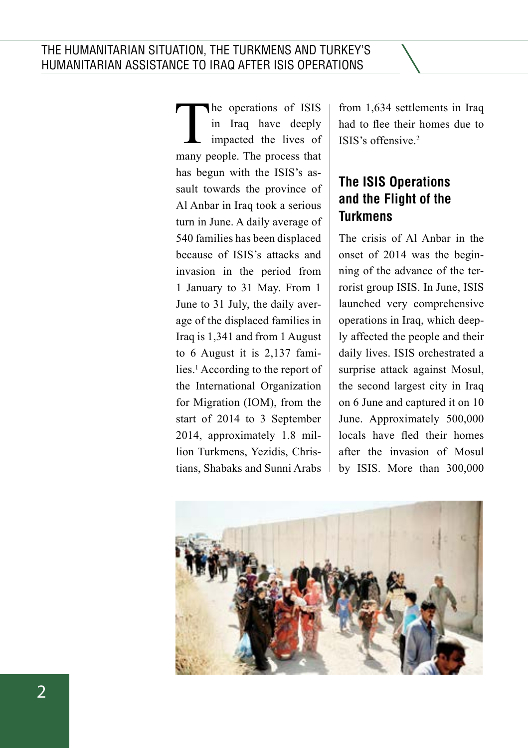The operations of ISIS<br>in Iraq have deeply<br>impacted the lives of<br>many people The process that in Iraq have deeply impacted the lives of many people. The process that has begun with the ISIS's assault towards the province of Al Anbar in Iraq took a serious turn in June. A daily average of 540 families has been displaced because of ISIS's attacks and invasion in the period from 1 January to 31 May. From 1 June to 31 July, the daily average of the displaced families in Iraq is 1,341 and from 1 August to 6 August it is 2,137 families.<sup>1</sup> According to the report of the International Organization for Migration (IOM), from the start of 2014 to 3 September 2014, approximately 1.8 million Turkmens, Yezidis, Christians, Shabaks and Sunni Arabs

from 1,634 settlements in Iraq had to flee their homes due to ISIS's offensive.<sup>2</sup>

# **The ISIS Operations and the Flight of the Turkmens**

The crisis of Al Anbar in the onset of 2014 was the beginning of the advance of the terrorist group ISIS. In June, ISIS launched very comprehensive operations in Iraq, which deeply affected the people and their daily lives. ISIS orchestrated a surprise attack against Mosul, the second largest city in Iraq on 6 June and captured it on 10 June. Approximately 500,000 locals have fled their homes after the invasion of Mosul by ISIS. More than 300,000

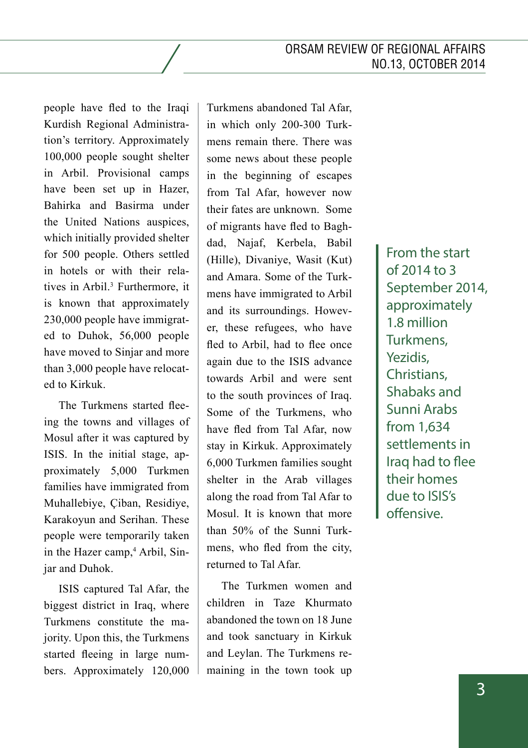people have fled to the Iraqi Kurdish Regional Administration's territory. Approximately 100,000 people sought shelter in Arbil. Provisional camps have been set up in Hazer, Bahirka and Basirma under the United Nations auspices, which initially provided shelter for 500 people. Others settled in hotels or with their relatives in Arbil.3 Furthermore, it is known that approximately 230,000 people have immigrated to Duhok, 56,000 people have moved to Sinjar and more than 3,000 people have relocated to Kirkuk.

The Turkmens started fleeing the towns and villages of Mosul after it was captured by ISIS. In the initial stage, approximately 5,000 Turkmen families have immigrated from Muhallebiye, Çiban, Residiye, Karakoyun and Serihan. These people were temporarily taken in the Hazer camp,<sup>4</sup> Arbil, Sinjar and Duhok.

ISIS captured Tal Afar, the biggest district in Iraq, where Turkmens constitute the majority. Upon this, the Turkmens started fleeing in large numbers. Approximately 120,000 Turkmens abandoned Tal Afar, in which only 200-300 Turkmens remain there. There was some news about these people in the beginning of escapes from Tal Afar, however now their fates are unknown. Some of migrants have fled to Baghdad, Najaf, Kerbela, Babil (Hille), Divaniye, Wasit (Kut) and Amara. Some of the Turkmens have immigrated to Arbil and its surroundings. However, these refugees, who have fled to Arbil, had to flee once again due to the ISIS advance towards Arbil and were sent to the south provinces of Iraq. Some of the Turkmens, who have fled from Tal Afar, now stay in Kirkuk. Approximately 6,000 Turkmen families sought shelter in the Arab villages along the road from Tal Afar to Mosul. It is known that more than 50% of the Sunni Turkmens, who fled from the city, returned to Tal Afar.

The Turkmen women and children in Taze Khurmato abandoned the town on 18 June and took sanctuary in Kirkuk and Leylan. The Turkmens remaining in the town took up From the start of 2014 to 3 September 2014, approximately 1.8 million Turkmens, Yezidis, Christians, Shabaks and Sunni Arabs from 1,634 settlements in Iraq had to flee their homes due to ISIS's offensive.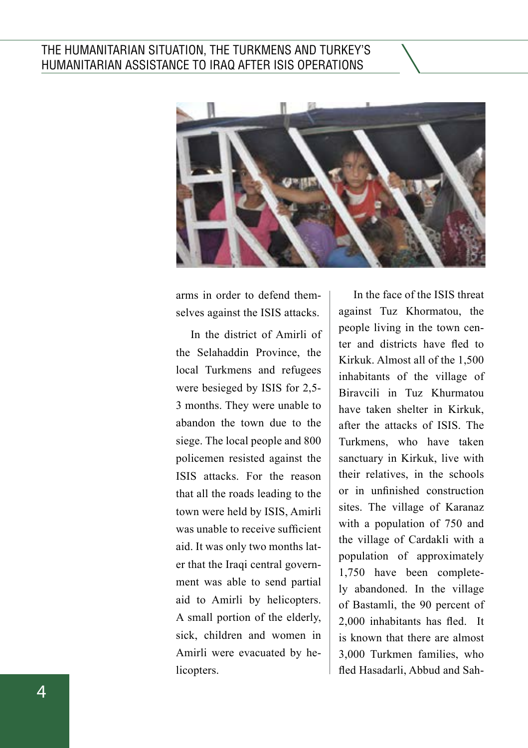

arms in order to defend them selves against the ISIS attacks.

In the district of Amirli of the Selahaddin Province, the local Turkmens and refugees were besieged by ISIS for 2,5- 3 months. They were unable to abandon the town due to the siege. The local people and 800 policemen resisted against the ISIS attacks. For the reason that all the roads leading to the town were held by ISIS, Amirli was unable to receive sufficient aid. It was only two months lat er that the Iraqi central govern ment was able to send partial aid to Amirli by helicopters. A small portion of the elderly, sick, children and women in Amirli were evacuated by he licopters.

In the face of the ISIS threat against Tuz Khormatou, the people living in the town cen ter and districts have fled to Kirkuk. Almost all of the 1,500 inhabitants of the village of Biravcili in Tuz Khurmatou have taken shelter in Kirkuk, after the attacks of ISIS. The Turkmens, who have taken sanctuary in Kirkuk, live with their relatives, in the schools or in unfinished construction sites. The village of Karanaz with a population of 750 and the village of Cardakli with a population of approximately 1,750 have been complete ly abandoned. In the village of Bastamli, the 90 percent of 2,000 inhabitants has fled. It is known that there are almost 3,000 Turkmen families, who fled Hasadarli, Abbud and Sah -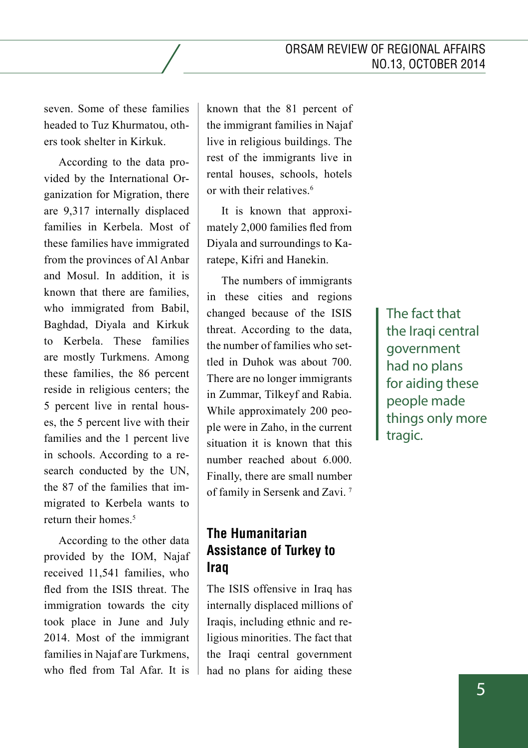seven. Some of these families headed to Tuz Khurmatou, others took shelter in Kirkuk.

According to the data provided by the International Organization for Migration, there are 9,317 internally displaced families in Kerbela. Most of these families have immigrated from the provinces of Al Anbar and Mosul. In addition, it is known that there are families, who immigrated from Babil, Baghdad, Diyala and Kirkuk to Kerbela. These families are mostly Turkmens. Among these families, the 86 percent reside in religious centers; the 5 percent live in rental houses, the 5 percent live with their families and the 1 percent live in schools. According to a research conducted by the UN, the 87 of the families that immigrated to Kerbela wants to return their homes<sup>5</sup>

According to the other data provided by the IOM, Najaf received 11,541 families, who fled from the ISIS threat. The immigration towards the city took place in June and July 2014. Most of the immigrant families in Najaf are Turkmens, who fled from Tal Afar. It is

known that the 81 percent of the immigrant families in Najaf live in religious buildings. The rest of the immigrants live in rental houses, schools, hotels or with their relatives.<sup>6</sup>

It is known that approximately 2,000 families fled from Diyala and surroundings to Karatepe, Kifri and Hanekin.

The numbers of immigrants in these cities and regions changed because of the ISIS threat. According to the data, the number of families who settled in Duhok was about 700. There are no longer immigrants in Zummar, Tilkeyf and Rabia. While approximately 200 people were in Zaho, in the current situation it is known that this number reached about 6.000. Finally, there are small number of family in Sersenk and Zavi. 7

# **The Humanitarian Assistance of Turkey to Iraq**

The ISIS offensive in Iraq has internally displaced millions of Iraqis, including ethnic and religious minorities. The fact that the Iraqi central government had no plans for aiding these

The fact that the Iraqi central government had no plans for aiding these people made things only more tragic.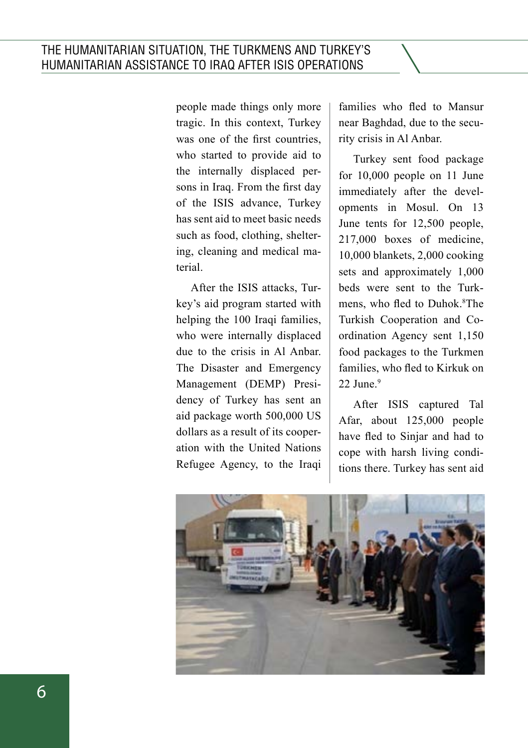people made things only more tragic. In this context, Turkey was one of the first countries, who started to provide aid to the internally displaced persons in Iraq. From the first day of the ISIS advance, Turkey has sent aid to meet basic needs such as food, clothing, sheltering, cleaning and medical material.

After the ISIS attacks, Turkey's aid program started with helping the 100 Iraqi families, who were internally displaced due to the crisis in Al Anbar. The Disaster and Emergency Management (DEMP) Presidency of Turkey has sent an aid package worth 500,000 US dollars as a result of its cooperation with the United Nations Refugee Agency, to the Iraqi

families who fled to Mansur near Baghdad, due to the security crisis in Al Anbar.

Turkey sent food package for 10,000 people on 11 June immediately after the developments in Mosul. On 13 June tents for 12,500 people, 217,000 boxes of medicine, 10,000 blankets, 2,000 cooking sets and approximately 1,000 beds were sent to the Turkmens, who fled to Duhok.<sup>8</sup>The Turkish Cooperation and Coordination Agency sent 1,150 food packages to the Turkmen families, who fled to Kirkuk on  $22$  June. $9$ 

After ISIS captured Tal Afar, about 125,000 people have fled to Sinjar and had to cope with harsh living conditions there. Turkey has sent aid

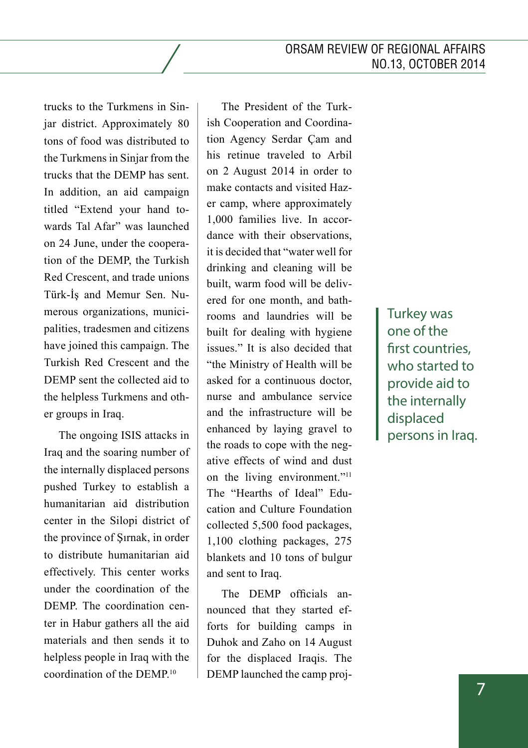trucks to the Turkmens in Sinjar district. Approximately 80 tons of food was distributed to the Turkmens in Sinjar from the trucks that the DEMP has sent. In addition, an aid campaign titled "Extend your hand towards Tal Afar" was launched on 24 June, under the cooperation of the DEMP, the Turkish Red Crescent, and trade unions Türk-İş and Memur Sen. Numerous organizations, municipalities, tradesmen and citizens have joined this campaign. The Turkish Red Crescent and the DEMP sent the collected aid to the helpless Turkmens and other groups in Iraq.

The ongoing ISIS attacks in Iraq and the soaring number of the internally displaced persons pushed Turkey to establish a humanitarian aid distribution center in the Silopi district of the province of Şırnak, in order to distribute humanitarian aid effectively. This center works under the coordination of the DEMP. The coordination center in Habur gathers all the aid materials and then sends it to helpless people in Iraq with the coordination of the DEMP.10

The President of the Turkish Cooperation and Coordination Agency Serdar Çam and his retinue traveled to Arbil on 2 August 2014 in order to make contacts and visited Hazer camp, where approximately 1,000 families live. In accordance with their observations, it is decided that "water well for drinking and cleaning will be built, warm food will be delivered for one month, and bathrooms and laundries will be built for dealing with hygiene issues." It is also decided that "the Ministry of Health will be asked for a continuous doctor, nurse and ambulance service and the infrastructure will be enhanced by laying gravel to the roads to cope with the negative effects of wind and dust on the living environment."<sup>11</sup> The "Hearths of Ideal" Education and Culture Foundation collected 5,500 food packages, 1,100 clothing packages, 275 blankets and 10 tons of bulgur and sent to Iraq.

The DEMP officials announced that they started efforts for building camps in Duhok and Zaho on 14 August for the displaced Iraqis. The DEMP launched the camp projTurkey was one of the first countries, who started to provide aid to the internally displaced persons in Iraq.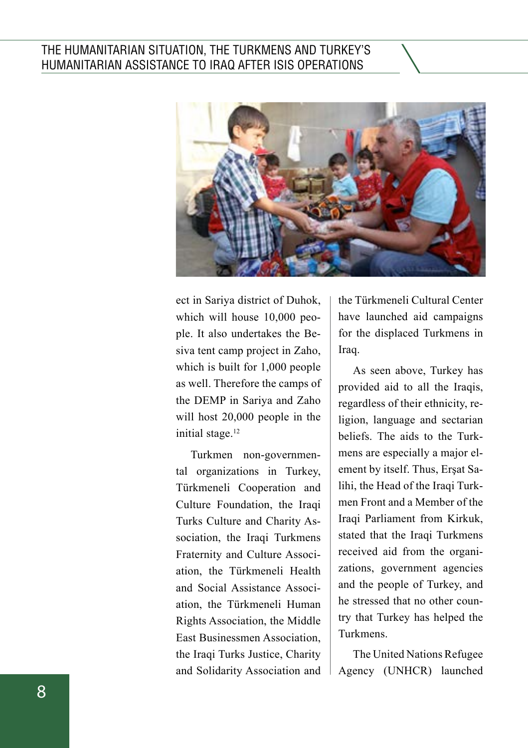

ect in Sariya district of Duhok, which will house 10,000 peo ple. It also undertakes the Be siva tent camp project in Zaho, which is built for 1,000 people as well. Therefore the camps of the DEMP in Sariya and Zaho will host 20,000 people in the initial stage.<sup>12</sup>

Turkmen non-governmen tal organizations in Turkey, Türkmeneli Cooperation and Culture Foundation, the Iraqi Turks Culture and Charity As sociation, the Iraqi Turkmens Fraternity and Culture Associ ation, the Türkmeneli Health and Social Assistance Associ ation, the Türkmeneli Human Rights Association, the Middle East Businessmen Association, the Iraqi Turks Justice, Charity and Solidarity Association and the Türkmeneli Cultural Center have launched aid campaigns for the displaced Turkmens in Iraq.

As seen above, Turkey has provided aid to all the Iraqis, regardless of their ethnicity, re ligion, language and sectarian beliefs. The aids to the Turk mens are especially a major el ement by itself. Thus, Erşat Sa lihi, the Head of the Iraqi Turk men Front and a Member of the Iraqi Parliament from Kirkuk, stated that the Iraqi Turkmens received aid from the organi zations, government agencies and the people of Turkey, and he stressed that no other coun try that Turkey has helped the Turkmens.

The United Nations Refugee Agency (UNHCR) launched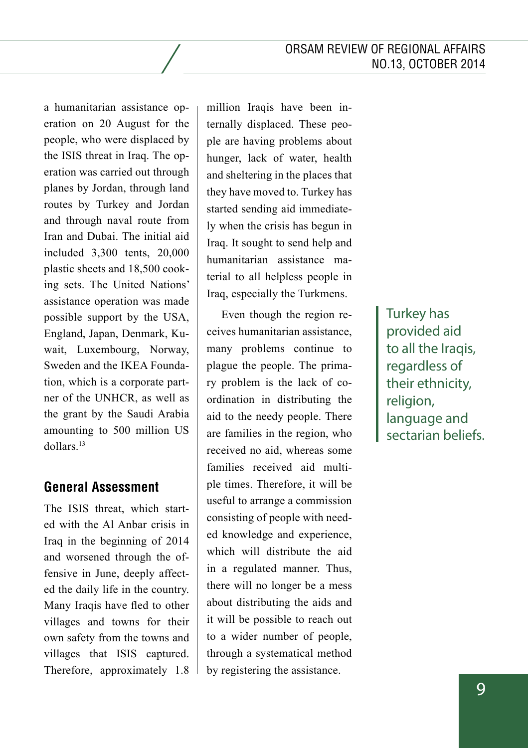a humanitarian assistance operation on 20 August for the people, who were displaced by the ISIS threat in Iraq. The operation was carried out through planes by Jordan, through land routes by Turkey and Jordan and through naval route from Iran and Dubai. The initial aid included 3,300 tents, 20,000 plastic sheets and 18,500 cooking sets. The United Nations' assistance operation was made possible support by the USA, England, Japan, Denmark, Kuwait, Luxembourg, Norway, Sweden and the IKEA Foundation, which is a corporate partner of the UNHCR, as well as the grant by the Saudi Arabia amounting to 500 million US dollars.13

## **General Assessment**

The ISIS threat, which started with the Al Anbar crisis in Iraq in the beginning of 2014 and worsened through the offensive in June, deeply affected the daily life in the country. Many Iraqis have fled to other villages and towns for their own safety from the towns and villages that ISIS captured. Therefore, approximately 1.8 million Iraqis have been internally displaced. These people are having problems about hunger, lack of water, health and sheltering in the places that they have moved to. Turkey has started sending aid immediately when the crisis has begun in Iraq. It sought to send help and humanitarian assistance material to all helpless people in Iraq, especially the Turkmens.

Even though the region receives humanitarian assistance, many problems continue to plague the people. The primary problem is the lack of coordination in distributing the aid to the needy people. There are families in the region, who received no aid, whereas some families received aid multiple times. Therefore, it will be useful to arrange a commission consisting of people with needed knowledge and experience, which will distribute the aid in a regulated manner. Thus, there will no longer be a mess about distributing the aids and it will be possible to reach out to a wider number of people, through a systematical method by registering the assistance.

Turkey has provided aid to all the Iraqis, regardless of their ethnicity, religion, language and sectarian beliefs.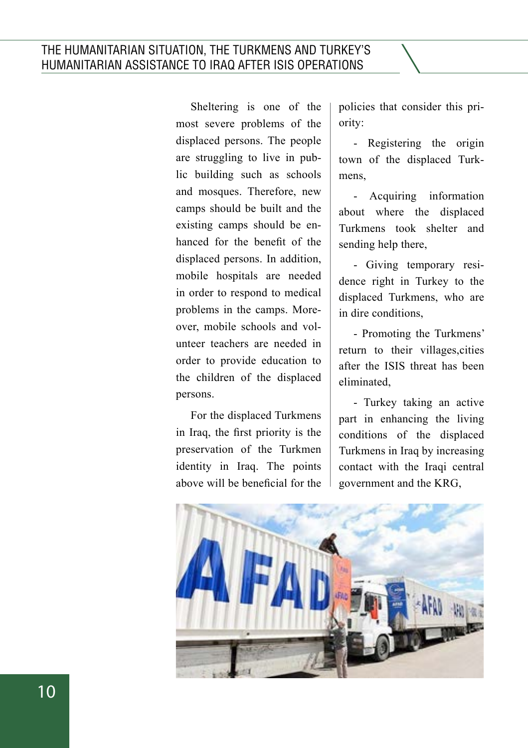Sheltering is one of the most severe problems of the displaced persons. The people are struggling to live in public building such as schools and mosques. Therefore, new camps should be built and the existing camps should be enhanced for the benefit of the displaced persons. In addition, mobile hospitals are needed in order to respond to medical problems in the camps. Moreover, mobile schools and volunteer teachers are needed in order to provide education to the children of the displaced persons.

For the displaced Turkmens in Iraq, the first priority is the preservation of the Turkmen identity in Iraq. The points above will be beneficial for the policies that consider this priority:

- Registering the origin town of the displaced Turkmens,

- Acquiring information about where the displaced Turkmens took shelter and sending help there,

- Giving temporary residence right in Turkey to the displaced Turkmens, who are in dire conditions,

- Promoting the Turkmens' return to their villages,cities after the ISIS threat has been eliminated,

- Turkey taking an active part in enhancing the living conditions of the displaced Turkmens in Iraq by increasing contact with the Iraqi central government and the KRG,

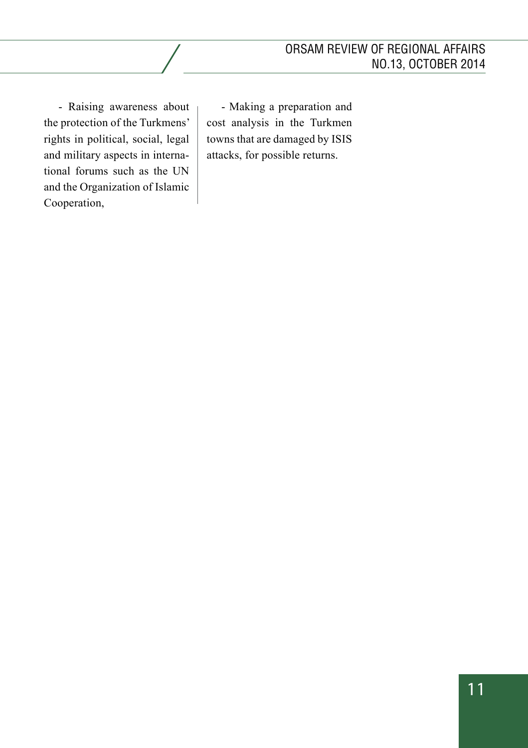- Raising awareness about the protection of the Turkmens' rights in political, social, legal and military aspects in international forums such as the UN and the Organization of Islamic Cooperation,

- Making a preparation and cost analysis in the Turkmen towns that are damaged by ISIS attacks, for possible returns.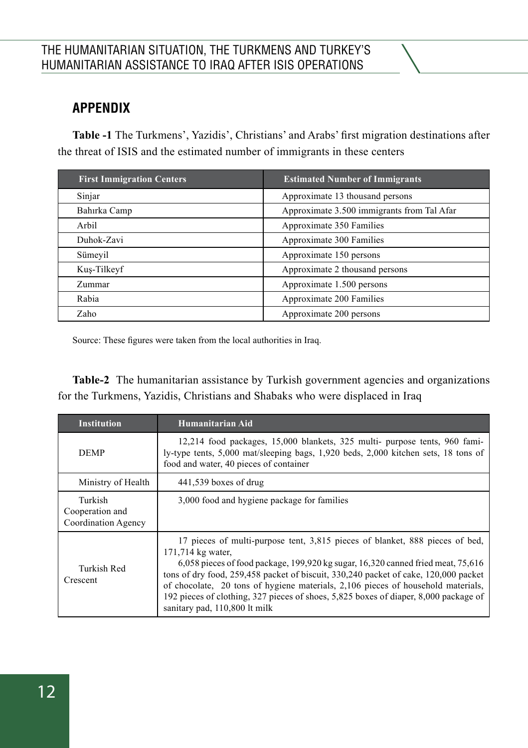# **Appendix**

**Table -1** The Turkmens', Yazidis', Christians' and Arabs' first migration destinations after the threat of ISIS and the estimated number of immigrants in these centers

| <b>First Immigration Centers</b> | <b>Estimated Number of Immigrants</b>      |
|----------------------------------|--------------------------------------------|
| Sinjar                           | Approximate 13 thousand persons            |
| Bahırka Camp                     | Approximate 3.500 immigrants from Tal Afar |
| Arbil                            | Approximate 350 Families                   |
| Duhok-Zavi                       | Approximate 300 Families                   |
| Sümeyil                          | Approximate 150 persons                    |
| Kus-Tilkeyf                      | Approximate 2 thousand persons             |
| Zummar                           | Approximate 1.500 persons                  |
| Rabia                            | Approximate 200 Families                   |
| Zaho                             | Approximate 200 persons                    |

Source: These figures were taken from the local authorities in Iraq.

**Table-2** The humanitarian assistance by Turkish government agencies and organizations for the Turkmens, Yazidis, Christians and Shabaks who were displaced in Iraq

| <b>Institution</b>                                | Humanitarian Aid                                                                                                                                                                                                                                                                                                                                                                                                                                                                              |
|---------------------------------------------------|-----------------------------------------------------------------------------------------------------------------------------------------------------------------------------------------------------------------------------------------------------------------------------------------------------------------------------------------------------------------------------------------------------------------------------------------------------------------------------------------------|
| <b>DEMP</b>                                       | 12,214 food packages, 15,000 blankets, 325 multi- purpose tents, 960 fami-<br>ly-type tents, 5,000 mat/sleeping bags, 1,920 beds, 2,000 kitchen sets, 18 tons of<br>food and water, 40 pieces of container                                                                                                                                                                                                                                                                                    |
| Ministry of Health                                | $441,539$ boxes of drug                                                                                                                                                                                                                                                                                                                                                                                                                                                                       |
| Turkish<br>Cooperation and<br>Coordination Agency | 3,000 food and hygiene package for families                                                                                                                                                                                                                                                                                                                                                                                                                                                   |
| Turkish Red<br>Crescent                           | 17 pieces of multi-purpose tent, 3,815 pieces of blanket, 888 pieces of bed,<br>171,714 kg water,<br>6,058 pieces of food package, 199,920 kg sugar, $16,320$ canned fried meat, $75,616$<br>tons of dry food, 259,458 packet of biscuit, 330,240 packet of cake, 120,000 packet<br>of chocolate, 20 tons of hygiene materials, 2,106 pieces of household materials,<br>192 pieces of clothing, 327 pieces of shoes, 5,825 boxes of diaper, 8,000 package of<br>sanitary pad, 110,800 lt milk |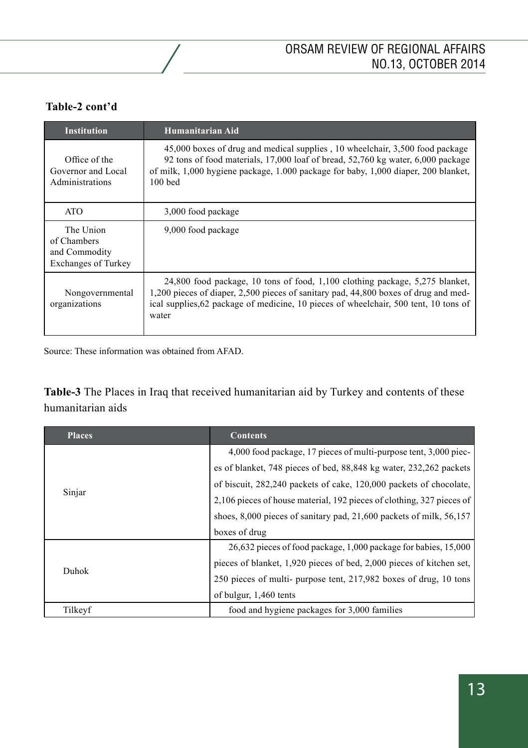#### **Table-2 cont'd**

| <b>Institution</b>                                                      | Humanitarian Aid                                                                                                                                                                                                                                                       |
|-------------------------------------------------------------------------|------------------------------------------------------------------------------------------------------------------------------------------------------------------------------------------------------------------------------------------------------------------------|
| Office of the<br>Governor and Local<br>Administrations                  | 45,000 boxes of drug and medical supplies, 10 wheelchair, 3,500 food package<br>92 tons of food materials, 17,000 loaf of bread, 52,760 kg water, 6,000 package<br>of milk, 1,000 hygiene package, 1,000 package for baby, 1,000 diaper, 200 blanket,<br>$100$ bed     |
| <b>ATO</b>                                                              | 3,000 food package                                                                                                                                                                                                                                                     |
| The Union<br>of Chambers<br>and Commodity<br><b>Exchanges of Turkey</b> | 9,000 food package                                                                                                                                                                                                                                                     |
| Nongovernmental<br>organizations                                        | $24,800$ food package, 10 tons of food, 1,100 clothing package, 5,275 blanket,<br>1,200 pieces of diaper, 2,500 pieces of sanitary pad, 44,800 boxes of drug and med-<br>ical supplies, 62 package of medicine, 10 pieces of wheelchair, 500 tent, 10 tons of<br>water |

Source: These information was obtained from AFAD.

**Table-3** The Places in Iraq that received humanitarian aid by Turkey and contents of these humanitarian aids

| <b>Places</b> | <b>Contents</b>                                                           |
|---------------|---------------------------------------------------------------------------|
| Sinjar        | 4,000 food package, 17 pieces of multi-purpose tent, 3,000 piec-          |
|               | es of blanket, 748 pieces of bed, 88,848 kg water, 232,262 packets        |
|               | of biscuit, 282,240 packets of cake, 120,000 packets of chocolate,        |
|               | 2,106 pieces of house material, 192 pieces of clothing, 327 pieces of     |
|               | shoes, $8,000$ pieces of sanitary pad, $21,600$ packets of milk, $56,157$ |
|               | boxes of drug                                                             |
| Duhok         | 26,632 pieces of food package, 1,000 package for babies, 15,000           |
|               | pieces of blanket, 1,920 pieces of bed, 2,000 pieces of kitchen set,      |
|               | 250 pieces of multi- purpose tent, 217,982 boxes of drug, 10 tons         |
|               | of bulgur, 1,460 tents                                                    |
| Tilkeyf       | food and hygiene packages for 3,000 families                              |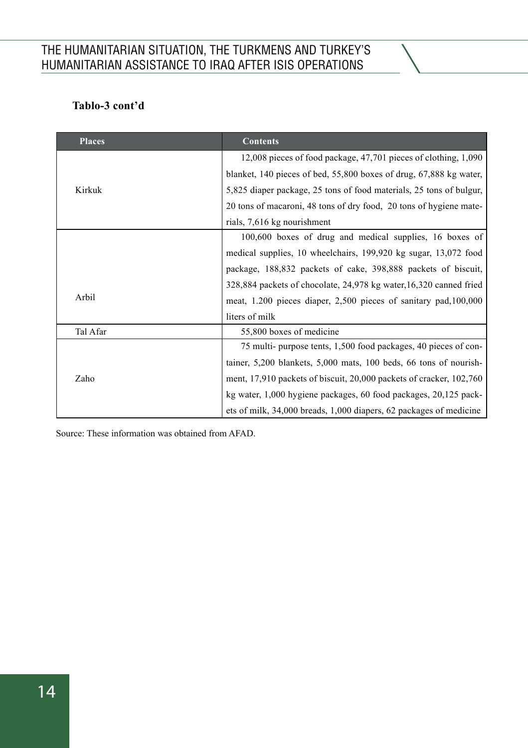#### **Tablo-3 cont'd**

| <b>Places</b> | <b>Contents</b>                                                     |
|---------------|---------------------------------------------------------------------|
| Kirkuk        | 12,008 pieces of food package, 47,701 pieces of clothing, 1,090     |
|               | blanket, 140 pieces of bed, 55,800 boxes of drug, 67,888 kg water,  |
|               | 5,825 diaper package, 25 tons of food materials, 25 tons of bulgur, |
|               | 20 tons of macaroni, 48 tons of dry food, 20 tons of hygiene mate-  |
|               | rials, 7,616 kg nourishment                                         |
|               | 100,600 boxes of drug and medical supplies, 16 boxes of             |
|               | medical supplies, 10 wheelchairs, 199,920 kg sugar, 13,072 food     |
|               | package, 188,832 packets of cake, 398,888 packets of biscuit,       |
| Arbil         | 328,884 packets of chocolate, 24,978 kg water, 16,320 canned fried  |
|               | meat, 1.200 pieces diaper, 2,500 pieces of sanitary pad, 100,000    |
|               | liters of milk                                                      |
| Tal Afar      | 55,800 boxes of medicine                                            |
| Zaho          | 75 multi-purpose tents, 1,500 food packages, 40 pieces of con-      |
|               | tainer, 5,200 blankets, 5,000 mats, 100 beds, 66 tons of nourish-   |
|               | ment, 17,910 packets of biscuit, 20,000 packets of cracker, 102,760 |
|               | kg water, 1,000 hygiene packages, 60 food packages, 20,125 pack-    |
|               | ets of milk, 34,000 breads, 1,000 diapers, 62 packages of medicine  |

Source: These information was obtained from AFAD.